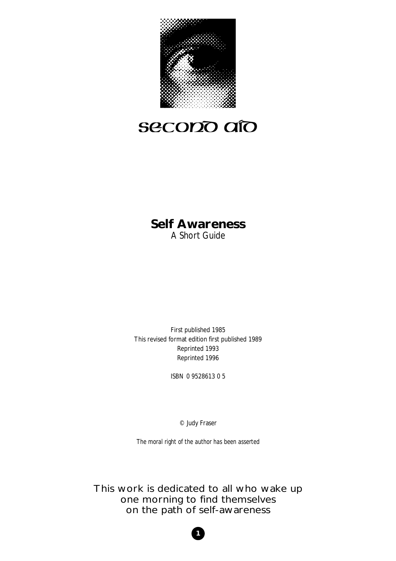

# secono aío

## **Self Awareness**  A Short Guide

First published 1985 This revised format edition first published 1989 Reprinted 1993 Reprinted 1996

ISBN 0 9528613 0 5

© Judy Fraser

*The moral right of the author has been asserted*

This work is dedicated to all who wake up one morning to find themselves on the path of self-awareness

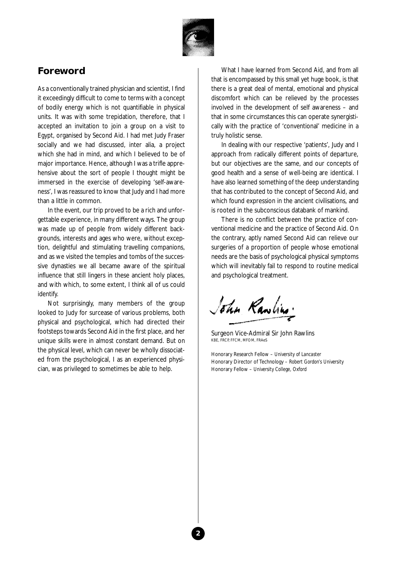

## **Foreword**

As a conventionally trained physician and scientist, I find it exceedingly difficult to come to terms with a concept of bodily energy which is not quantifiable in physical units. It was with some trepidation, therefore, that I accepted an invitation to join a group on a visit to Egypt, organised by Second Aid. I had met Judy Fraser socially and we had discussed, inter alia, a project which she had in mind, and which I believed to be of major importance. Hence, although I was a trifle apprehensive about the sort of people I thought might be immersed in the exercise of developing 'self-awareness', I was reassured to know that Judy and I had more than a little in common.

In the event, our trip proved to be a rich and unforgettable experience, in many different ways. The group was made up of people from widely different backgrounds, interests and ages who were, without exception, delightful and stimulating travelling companions, and as we visited the temples and tombs of the successive dynasties we all became aware of the spiritual influence that still lingers in these ancient holy places, and with which, to some extent, I think all of us could identify.

Not surprisingly, many members of the group looked to Judy for surcease of various problems, both physical and psychological, which had directed their footsteps towards Second Aid in the first place, and her unique skills were in almost constant demand. But on the physical level, which can never be wholly dissociated from the psychological, I as an experienced physician, was privileged to sometimes be able to help.

What I have learned from Second Aid, and from all that is encompassed by this small yet huge book, is that there is a great deal of mental, emotional and physical discomfort which can be relieved by the processes involved in the development of self awareness – and that in some circumstances this can operate synergistically with the practice of 'conventional' medicine in a truly holistic sense.

In dealing with our respective 'patients', Judy and I approach from radically different points of departure, but our objectives are the same, and our concepts of good health and a sense of well-being are identical. I have also learned something of the deep understanding that has contributed to the concept of Second Aid, and which found expression in the ancient civilisations, and is rooted in the subconscious databank of mankind.

There is no conflict between the practice of conventional medicine and the practice of Second Aid. On the contrary, aptly named Second Aid can relieve our surgeries of a proportion of people whose emotional needs are the basis of psychological physical symptoms which will inevitably fail to respond to routine medical and psychological treatment.

John Rawlins.

Surgeon Vice-Admiral Sir John Rawlins KBE, FRCP, FFCM, MFOM, FRAeS

Honorary Research Fellow – *University of Lancaster* Honorary Director of Technology – *Robert Gordon's University* Honorary Fellow – *University College, Oxford*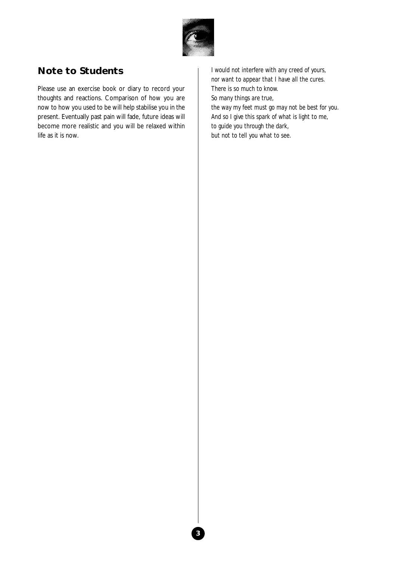

## **Note to Students**

Please use an exercise book or diary to record your thoughts and reactions. Comparison of how you are now to how you used to be will help stabilise you in the present. Eventually past pain will fade, future ideas will become more realistic and you will be relaxed within life as it is now.

*I would not interfere with any creed of yours, nor want to appear that I have all the cures. There is so much to know. So many things are true, the way my feet must go may not be best for you. And so I give this spark of what is light to me, to guide you through the dark, but not to tell you what to see.*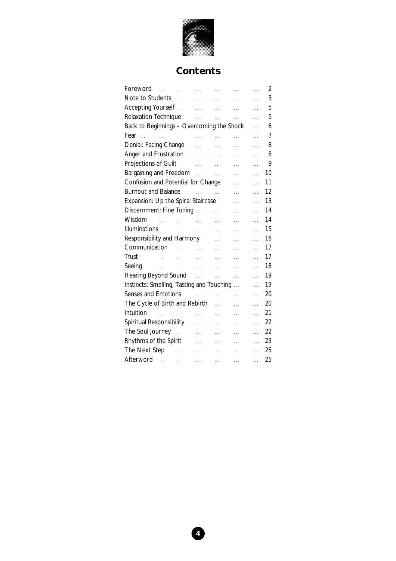

## **Contents**

| Foreword                                           |                           | and the contract of the contract of      |                       | $\cdots$              | $\cdots$       | 2  |
|----------------------------------------------------|---------------------------|------------------------------------------|-----------------------|-----------------------|----------------|----|
| Note to Students                                   |                           | <b>Contractor</b>                        | a a control           | $\cdots$              | .              | 3  |
| Accepting Yourself                                 |                           | $\sim 100$ and $\sim 100$ and $\sim 100$ |                       | $\bar{z}$ , $\bar{z}$ | 22             | 5  |
| Relaxation Technique                               |                           | <b>Albany</b>                            | <b>Section</b>        | $\mathbb{R}$          | $\ldots$       | 5  |
| Back to Beginnings - Overcoming the Shock          |                           |                                          |                       |                       | $\ddotsc$      | 6  |
|                                                    |                           | <b>Sales Common</b>                      | a a control           | $\cdots$              | $\cdots$       | 7  |
| Denial: Facing Change                              |                           | .                                        | 22                    | $\cdots$              | .              | 8  |
| Anger and Frustration                              |                           | $\mathbf{1}$                             | $\ldots$              | .                     | .              | 8  |
| Projections of Guilt                               |                           | aaan in d                                | $\sim$ . $\sim$       | .                     | .              | 9  |
| Bargaining and Freedom                             |                           |                                          |                       | .                     | $\mathbb{R}^2$ | 10 |
| Confusion and Potential for Change<br>.            |                           |                                          |                       |                       | $\cdots$       | 11 |
| <b>Burnout and Balance</b>                         |                           | <b>Contract Contract</b>                 |                       | .                     | $\cdots$       | 12 |
| Expansion: Up the Spiral Staircase<br>$\cdots$     |                           |                                          |                       |                       | $\cdots$       | 13 |
| Discernment: Fine Tuning                           |                           |                                          | .                     | $\cdots$              | $\ddotsc$      | 14 |
| Wisdom<br>$\sim$ 100 $\mu$                         | <b>Contract Contract</b>  |                                          | .                     | $\ldots$              | $\cdots$       | 14 |
| Illuminations                                      | $\mathbb{R}^{n \times n}$ | $\sim$ . $\sim$                          | .                     | .                     | $\cdots$       | 15 |
| Responsibility and Harmony<br>$\cdots$<br>$\cdots$ |                           |                                          |                       |                       | $\cdots$       | 16 |
| Communication                                      | $\sim 100$                | $\sim$                                   | <b>Collection</b>     | $\cdots$              | $\ddotsc$      | 17 |
| Trust<br>and the state of                          |                           | $\sim 100$ km s $^{-1}$                  | $\ldots$              | $\cdots$              | $\cdots$       | 17 |
| Seeing<br>in C                                     | $\langle \ldots \rangle$  | <b>Sales Corporation</b>                 | <b>Second</b>         | .                     | $\cdots$       | 18 |
| Hearing Beyond Sound Allen Allen Allen             |                           |                                          |                       | <b>Collection</b>     | $\ddotsc$      | 19 |
| Instincts: Smelling, Tasting and Touching          |                           |                                          |                       |                       | $\ddotsc$      | 19 |
| <b>Senses and Emotions</b>                         |                           | $\cdots$                                 | $\mathbf{A}$          | .                     | $\ddotsc$      | 20 |
| The Cycle of Birth and Rebirth                     |                           |                                          | $\mathbb{R}^2$        | $\cdots$              | $\cdots$       | 20 |
| Intuition<br>and the state of the state            |                           | .                                        | $\ldots$              | .                     | $\cdots$       | 21 |
| Spiritual Responsibility                           |                           |                                          | $\cdots$              | 22                    | $\cdots$       | 22 |
| The Soul Journey                                   |                           | $\ldots$                                 | .                     | .                     | $\cdots$       | 22 |
| Rhythms of the Spirit                              |                           | $\cdots$                                 | $\cdots$              | a a control           | $\ddotsc$      | 23 |
| The Next Step                                      | <b>College</b>            | <b>Contractor</b>                        | and the season of the | and the con-          | $\mathbb{R}^2$ | 25 |
| Afterword                                          | .                         | $\ldots$                                 | $\sim 10^{-1}$        | $\bar{\psi}$ .        | $\ldots$       | 25 |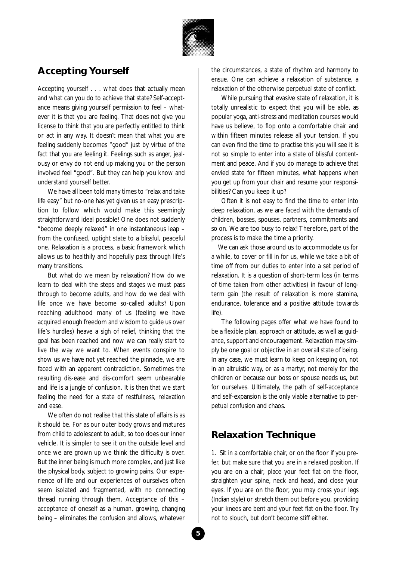

## **Accepting Yourself**

Accepting yourself . . . what does that actually mean and what can you do to achieve that state? Self-acceptance means giving yourself permission to feel – whatever it is that you are feeling. That does not give you license to think that you are perfectly entitled to think or act in any way. It doesn't mean that what you are feeling suddenly becomes "good" just by virtue of the fact that you are feeling it. Feelings such as anger, jealousy or envy do not end up making you or the person involved feel "good". But they can help you know and understand yourself better.

We have all been told many times to "relax and take life easy" but no-one has yet given us an easy prescription to follow which would make this seemingly straightforward ideal possible! One does not suddenly "become deeply relaxed" in one instantaneous leap – from the confused, uptight state to a blissful, peaceful one. Relaxation is a process, a basic framework which allows us to healthily and hopefully pass through life's many transitions.

But what do we mean by relaxation? How do we learn to deal with the steps and stages we must pass through to become adults, and how do we deal with life once we have become so-called adults? Upon reaching adulthood many of us (feeling we have acquired enough freedom and wisdom to guide us over life's hurdles) heave a sigh of relief, thinking that the goal has been reached and now we can really start to live the way we want to. When events conspire to show us we have not yet reached the pinnacle, we are faced with an apparent contradiction. Sometimes the resulting dis-ease and dis-comfort seem unbearable and life is a jungle of confusion. It is then that we start feeling the need for a state of restfulness, relaxation and ease.

We often do not realise that this state of affairs is as it should be. For as our outer body grows and matures from child to adolescent to adult, so too does our inner vehicle. It is simpler to see it on the outside level and once we are grown up we think the difficulty is over. But the inner being is much more complex, and just like the physical body, subject to growing pains. Our experience of life and our experiences of ourselves often seem isolated and fragmented, with no connecting thread running through them. Acceptance of this – acceptance of oneself as a human, growing, changing being – eliminates the confusion and allows, whatever

the circumstances, a state of rhythm and harmony to ensue. One can achieve a relaxation of substance, a relaxation of the otherwise perpetual state of conflict.

While pursuing that evasive state of relaxation, it is totally unrealistic to expect that you will be able, as popular yoga, anti-stress and meditation courses would have us believe, to flop onto a comfortable chair and within fifteen minutes release all your tension. If you can even find the time to practise this you will see it is not so simple to enter into a state of blissful contentment and peace. And if you do manage to achieve that envied state for fifteen minutes, what happens when you get up from your chair and resume your responsibilities? Can you keep it up?

Often it is not easy to find the time to enter into deep relaxation, as we are faced with the demands of children, bosses, spouses, partners, commitments and so on. We are too busy to relax! Therefore, part of the process is to make the time a priority.

We can ask those around us to accommodate us for a while, to cover or fill in for us, while we take a bit of time off from our duties to enter into a set period of relaxation. It is a question of short-term loss (in terms of time taken from other activities) in favour of longterm gain (the result of relaxation is more stamina, endurance, tolerance and a positive attitude towards life).

The following pages offer what we have found to be a flexible plan, approach or attitude, as well as guidance, support and encouragement. Relaxation may simply be one goal or objective in an overall state of being. In any case, we must learn to keep on keeping on, not in an altruistic way, or as a martyr, not merely for the children or because our boss or spouse needs us, but for ourselves. Ultimately, the path of self-acceptance and self-expansion is the only viable alternative to perpetual confusion and chaos.

## **Relaxation Technique**

1. Sit in a comfortable chair, or on the floor if you prefer, but make sure that you are in a relaxed position. If you are on a chair, place your feet flat on the floor, straighten your spine, neck and head, and close your eyes. If you are on the floor, you may cross your legs (Indian style) or stretch them out before you, providing your knees are bent and your feet flat on the floor. Try not to slouch, but don't become stiff either.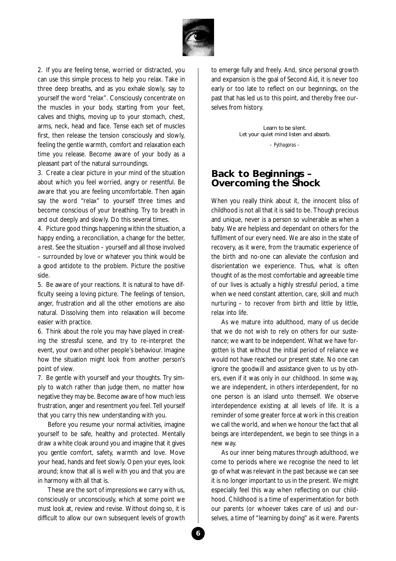

2. If you are feeling tense, worried or distracted, you can use this simple process to help you relax. Take in three deep breaths, and as you exhale slowly, say to yourself the word "relax". Consciously concentrate on the muscles in your body, starting from your feet, calves and thighs, moving up to your stomach, chest, arms, neck, head and face. Tense each set of muscles first, then release the tension consciously and slowly, feeling the gentle warmth, comfort and relaxation each time you release. Become aware of your body as a pleasant part of the natural surroundings.

3. Create a clear picture in your mind of the situation about which you feel worried, angry or resentful. Be aware that you are feeling uncomfortable. Then again say the word "relax" to yourself three times and become conscious of your breathing. Try to breath in and out deeply and slowly. Do this several times.

4. Picture good things happening within the situation, a happy ending, a reconciliation, a change for the better, a rest. See the situation – yourself and all those involved – surrounded by love or whatever you think would be a good antidote to the problem. Picture the positive side.

5. Be aware of your reactions. It is natural to have difficulty seeing a loving picture. The feelings of tension, anger, frustration and all the other emotions are also natural. Dissolving them into relaxation will become easier with practice.

6. Think about the role you may have played in creating the stressful scene, and try to re-interpret the event, your own and other people's behaviour. Imagine how the situation might look from another person's point of view.

7. Be gentle with yourself and your thoughts. Try simply to watch rather than judge them, no matter how negative they may be. Become aware of how much less frustration, anger and resentment you feel. Tell yourself that you carry this new understanding with you.

Before you resume your normal activities, imagine yourself to be safe, healthy and protected. Mentally draw a white cloak around you and imagine that it gives you gentle comfort, safety, warmth and love. Move your head, hands and feet slowly. Open your eyes, look around; know that all is well with you and that you are in harmony with all that is.

These are the sort of impressions we carry with us, consciously or unconsciously, which at some point we must look at, review and revise. Without doing so, it is difficult to allow our own subsequent levels of growth

to emerge fully and freely. And, since personal growth and expansion is the goal of Second Aid, it is never too early or too late to reflect on our beginnings, on the past that has led us to this point, and thereby free ourselves from history.

> *Learn to be silent. Let your quiet mind listen and absorb. – Pythagoras –*

#### **Back to Beginnings – Overcoming the Shock**

When you really think about it, the innocent bliss of childhood is not all that it is said to be. Though precious and unique, never is a person so vulnerable as when a baby. We are helpless and dependant on others for the fulfilment of our every need. We are also in the state of recovery, as it were, from the traumatic experience of the birth and no-one can alleviate the confusion and disorientation we experience. Thus, what is often thought of as the most comfortable and agreeable time of our lives is actually a highly stressful period, a time when we need constant attention, care, skill and much nurturing – to recover from birth and little by little, relax into life.

As we mature into adulthood, many of us decide that we do not wish to rely on others for our sustenance; we want to be independent. What we have forgotten is that without the initial period of reliance we would not have reached our present state. No one can ignore the goodwill and assistance given to us by others, even if it was only in our childhood. In some way, we are independent, in others interdependent, for no one person is an island unto themself. We observe interdependence existing at all levels of life. It is a reminder of some greater force at work in this creation we call the world, and when we honour the fact that all beings are interdependent, we begin to see things in a new way.

As our inner being matures through adulthood, we come to periods where we recognise the need to let go of what was relevant in the past because we can see it is no longer important to us in the present. We might especially feel this way when reflecting on our childhood. Childhood is a time of experimentation for both our parents (or whoever takes care of us) and ourselves, a time of "learning by doing" as it were. Parents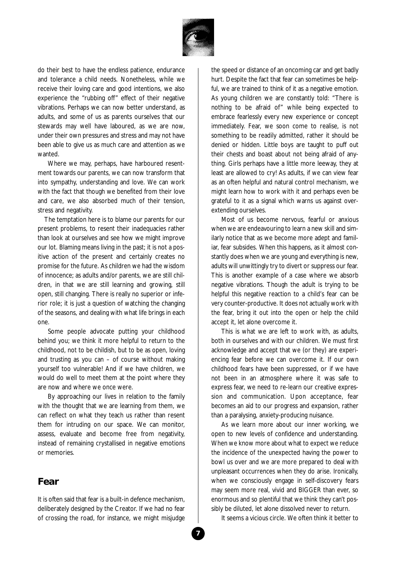

do their best to have the endless patience, endurance and tolerance a child needs. Nonetheless, while we receive their loving care and good intentions, we also experience the "rubbing off" effect of their negative vibrations. Perhaps we can now better understand, as adults, and some of us as parents ourselves that our stewards may well have laboured, as we are now, under their own pressures and stress and may not have been able to give us as much care and attention as we wanted.

Where we may, perhaps, have harboured resentment towards our parents, we can now transform that into sympathy, understanding and love. We can work with the fact that though we benefited from their love and care, we also absorbed much of their tension, stress and negativity.

The temptation here is to blame our parents for our present problems, to resent their inadequacies rather than look at ourselves and see how we might improve our lot. Blaming means living in the past; it is not a positive action of the present and certainly creates no promise for the future. As children we had the wisdom of innocence; as adults and/or parents, we are still children, in that we are still learning and growing, still open, still changing. There is really no superior or inferior role; it is just a question of watching the changing of the seasons, and dealing with what life brings in each one.

Some people advocate putting your childhood behind you; we think it more helpful to return to the childhood, not to be childish, but to be as open, loving and trusting as you can – of course without making yourself too vulnerable! And if we have children, we would do well to meet them at the point where they are now and where we once were.

By approaching our lives in relation to the family with the thought that we are learning from them, we can reflect on what they teach us rather than resent them for intruding on our space. We can monitor, assess, evaluate and become free from negativity, instead of remaining crystallised in negative emotions or memories.

#### **Fear**

It is often said that fear is a built-in defence mechanism, deliberately designed by the Creator. If we had no fear of crossing the road, for instance, we might misjudge the speed or distance of an oncoming car and get badly hurt. Despite the fact that fear can sometimes be helpful, we are trained to think of it as a negative emotion. As young children we are constantly told: "There is nothing to be afraid of" while being expected to embrace fearlessly every new experience or concept immediately. Fear, we soon come to realise, is not something to be readily admitted, rather it should be denied or hidden. Little boys are taught to puff out their chests and boast about not being afraid of anything. Girls perhaps have a little more leeway, they at least are allowed to cry! As adults, if we can view fear as an often helpful and natural control mechanism, we might learn how to work with it and perhaps even be grateful to it as a signal which warns us against overextending ourselves.

Most of us become nervous, fearful or anxious when we are endeavouring to learn a new skill and similarly notice that as we become more adept and familiar, fear subsides. When this happens, as it almost constantly does when we are young and everything is new, adults will unwittingly try to divert or suppress our fear. This is another example of a case where we absorb negative vibrations. Though the adult is trying to be helpful this negative reaction to a child's fear can be very counter-productive. It does not actually work with the fear, bring it out into the open or help the child accept it, let alone overcome it.

This is what we are left to work with, as adults, both in ourselves and with our children. We must first acknowledge and accept that we (or they) are experiencing fear before we can overcome it. If our own childhood fears have been suppressed, or if we have not been in an atmosphere where it was safe to express fear, we need to re-learn our creative expression and communication. Upon acceptance, fear becomes an aid to our progress and expansion, rather than a paralysing, anxiety-producing nuisance.

As we learn more about our inner working, we open to new levels of confidence and understanding. When we know more about what to expect we reduce the incidence of the unexpected having the power to bowl us over and we are more prepared to deal with unpleasant occurrences when they do arise. Ironically, when we consciously engage in self-discovery fears may seem more real, vivid and BIGGER than ever, so enormous and so plentiful that we think they can't possibly be diluted, let alone dissolved never to return.

It seems a vicious circle. We often think it better to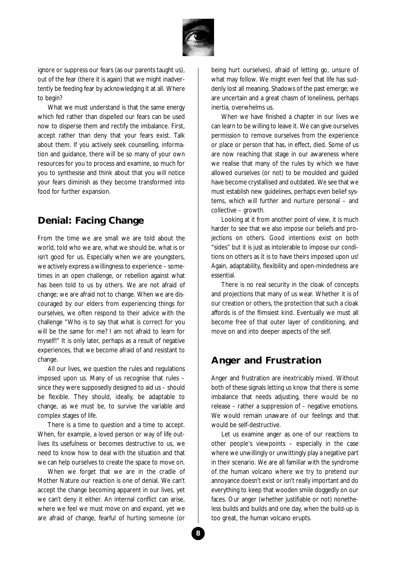

ignore or suppress our fears (as our parents taught us), out of the fear (there it is again) that we might inadvertently be feeding fear by acknowledging it at all. Where to begin?

What we must understand is that the same energy which fed rather than dispelled our fears can be used now to disperse them and rectify the imbalance. First, accept rather than deny that your fears exist. Talk about them. If you actively seek counselling, information and guidance, there will be so many of your own resources for you to process and examine, so much for you to synthesise and think about that you will notice your fears diminish as they become transformed into food for further expansion.

## **Denial: Facing Change**

From the time we are small we are told about the world, told who we are, what we should be, what is or isn't good for us. Especially when we are youngsters, we actively express a willingness to experience – sometimes in an open challenge, or rebellion against what has been told to us by others. We are not afraid of change; we are afraid not to change. When we are discouraged by our elders from experiencing things for ourselves, we often respond to their advice with the challenge "Who is to say that what is correct for you will be the same for me? I am not afraid to learn for myself!" It is only later, perhaps as a result of negative experiences, that we become afraid of and resistant to change.

All our lives, we question the rules and regulations imposed upon us. Many of us recognise that rules – since they were supposedly designed to aid us – should be flexible. They should, ideally, be adaptable to change, as we must be, to survive the variable and complex stages of life.

There is a time to question and a time to accept. When, for example, a loved person or way of life outlives its usefulness or becomes destructive to us, we need to know how to deal with the situation and that we can help ourselves to create the space to move on.

When we forget that we are in the cradle of Mother Nature our reaction is one of denial. We can't accept the change becoming apparent in our lives, yet we can't deny it either. An internal conflict can arise, where we feel we must move on and expand, yet we are afraid of change, fearful of hurting someone (or

being hurt ourselves), afraid of letting go, unsure of what may follow. We might even feel that life has suddenly lost all meaning. Shadows of the past emerge; we are uncertain and a great chasm of loneliness, perhaps inertia, overwhelms us.

When we have finished a chapter in our lives we can learn to be willing to leave it. We can give ourselves permission to remove ourselves from the experience or place or person that has, in effect, died. Some of us are now reaching that stage in our awareness where we realise that many of the rules by which we have allowed ourselves (or not) to be moulded and guided have become crystallised and outdated. We see that we must establish new guidelines, perhaps even belief systems, which will further and nurture personal – and collective – growth.

Looking at it from another point of view, it is much harder to see that we also impose our beliefs and projections on others. Good intentions exist on both "sides" but it is just as intolerable to impose our conditions on others as it is to have theirs imposed upon us! Again, adaptability, flexibility and open-mindedness are essential.

There is no real security in the cloak of concepts and projections that many of us wear. Whether it is of our creation or others, the protection that such a cloak affords is of the flimsiest kind. Eventually we must all become free of that outer layer of conditioning, and move on and into deeper aspects of the self.

## **Anger and Frustration**

Anger and frustration are inextricably mixed. Without both of these signals letting us know that there is some imbalance that needs adjusting, there would be no release – rather a suppression of – negative emotions. We would remain unaware of our feelings and that would be self-destructive.

Let us examine anger as one of our reactions to other people's viewpoints – especially in the case where we unwillingly or unwittingly play a negative part in their scenario. We are all familiar with the syndrome of the human volcano where we try to pretend our annoyance doesn't exist or isn't really important and do everything to keep that wooden smile doggedly on our faces. Our anger (whether justifiable or not) nonetheless builds and builds and one day, when the build-up is too great, the human volcano erupts.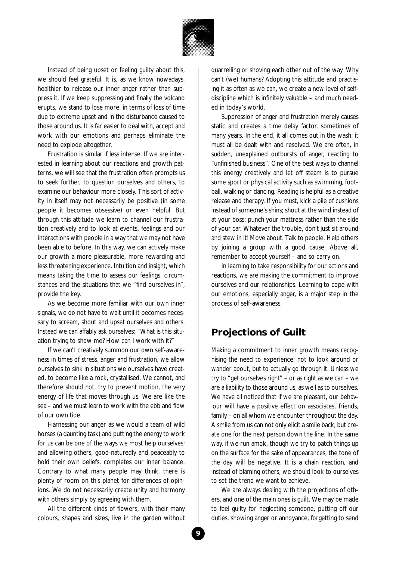

Instead of being upset or feeling guilty about this, we should feel grateful. It is, as we know nowadays, healthier to release our inner anger rather than suppress it. If we keep suppressing and finally the volcano erupts, we stand to lose more, in terms of loss of time due to extreme upset and in the disturbance caused to those around us. It is far easier to deal with, accept and work with our emotions and perhaps eliminate the need to explode altogether.

Frustration is similar if less intense. If we are interested in learning about our reactions and growth patterns, we will see that the frustration often prompts us to seek further, to question ourselves and others, to examine our behaviour more closely. This sort of activity in itself may not necessarily be positive (in some people it becomes obsessive) or even helpful. But through this attitude we learn to channel our frustration creatively and to look at events, feelings and our interactions with people in a way that we may not have been able to before. In this way, we can actively make our growth a more pleasurable, more rewarding and less threatening experience. Intuition and insight, which means taking the time to assess our feelings, circumstances and the situations that we "find ourselves in", provide the key.

As we become more familiar with our own inner signals, we do not have to wait until it becomes necessary to scream, shout and upset ourselves and others. Instead we can affably ask ourselves: "What is this situation trying to show me? How can I work with it?"

If we can't creatively summon our own self-awareness in times of stress, anger and frustration, we allow ourselves to sink in situations we ourselves have created, to become like a rock, crystallised. We cannot, and therefore should not, try to prevent motion, the very energy of life that moves through us. We are like the sea – and we must learn to work with the ebb and flow of our own tide.

Harnessing our anger as we would a team of wild horses (a daunting task) and putting the energy to work for us can be one of the ways we most help ourselves; and allowing others, good-naturedly and peaceably to hold their own beliefs, completes our inner balance. Contrary to what many people may think, there is plenty of room on this planet for differences of opinions. We do not necessarily create unity and harmony with others simply by agreeing with them.

All the different kinds of flowers, with their many colours, shapes and sizes, live in the garden without quarrelling or shoving each other out of the way. Why can't (we) humans? Adopting this attitude and practising it as often as we can, we create a new level of selfdiscipline which is infinitely valuable – and much needed in today's world.

Suppression of anger and frustration merely causes static and creates a time delay factor, sometimes of many years. In the end, it all comes out in the wash; it must all be dealt with and resolved. We are often, in sudden, unexplained outbursts of anger, reacting to "unfinished business". One of the best ways to channel this energy creatively and let off steam is to pursue some sport or physical activity such as swimming, football, walking or dancing. Reading is helpful as a creative release and therapy. If you must, kick a pile of cushions instead of someone's shins; shout at the wind instead of at your boss; punch your mattress rather than the side of your car. Whatever the trouble, don't just sit around and stew in it! Move about. Talk to people. Help others by joining a group with a good cause. Above all, remember to accept yourself – and so carry on.

In learning to take responsibility for our actions and reactions, we are making the commitment to improve ourselves and our relationships. Learning to cope with our emotions, especially anger, is a major step in the process of self-awareness.

## **Projections of Guilt**

Making a commitment to inner growth means recognising the need to experience; not to look around or wander about, but to actually go through it. Unless we try to "get ourselves right" – or as right as we can – we are a liability to those around us, as well as to ourselves. We have all noticed that if we are pleasant, our behaviour will have a positive effect on associates, friends, family – on all whom we encounter throughout the day. A smile from us can not only elicit a smile back, but create one for the next person down the line. In the same way, if we run amok, though we try to patch things up on the surface for the sake of appearances, the tone of the day will be negative. It is a chain reaction, and instead of blaming others, we should look to ourselves to set the trend we want to achieve.

We are always dealing with the projections of others, and one of the main ones is guilt. We may be made to feel guilty for neglecting someone, putting off our duties, showing anger or annoyance, forgetting to send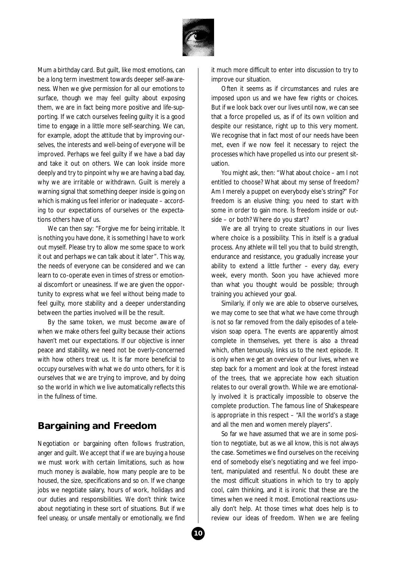

Mum a birthday card. But guilt, like most emotions, can be a long term investment towards deeper self-awareness. When we give permission for all our emotions to surface, though we may feel guilty about exposing them, we are in fact being more positive and life-supporting. If we catch ourselves feeling guilty it is a good time to engage in a little more self-searching. We can, for example, adopt the attitude that by improving ourselves, the interests and well-being of everyone will be improved. Perhaps we feel guilty if we have a bad day and take it out on others. We can look inside more deeply and try to pinpoint why we are having a bad day, why we are irritable or withdrawn. Guilt is merely a warning signal that something deeper inside is going on which is making us feel inferior or inadequate – according to our expectations of ourselves or the expectations others have of us.

We can then say: "Forgive me for being irritable. It is nothing you have done, it is something I have to work out myself. Please try to allow me some space to work it out and perhaps we can talk about it later". This way, the needs of everyone can be considered and we can learn to co-operate even in times of stress or emotional discomfort or uneasiness. If we are given the opportunity to express what we feel without being made to feel guilty, more stability and a deeper understanding between the parties involved will be the result.

By the same token, we must become aware of when we make others feel guilty because their actions haven't met our expectations. If our objective is inner peace and stability, we need not be overly-concerned with how others treat us. It is far more beneficial to occupy ourselves with what we do unto others, for it is ourselves that we are trying to improve, and by doing so the world in which we live automatically reflects this in the fullness of time.

## **Bargaining and Freedom**

Negotiation or bargaining often follows frustration, anger and guilt. We accept that if we are buying a house we must work with certain limitations, such as how much money is available, how many people are to be housed, the size, specifications and so on. If we change jobs we negotiate salary, hours of work, holidays and our duties and responsibilities. We don't think twice about negotiating in these sort of situations. But if we feel uneasy, or unsafe mentally or emotionally, we find

it much more difficult to enter into discussion to try to improve our situation.

Often it seems as if circumstances and rules are imposed upon us and we have few rights or choices. But if we look back over our lives until now, we can see that a force propelled us, as if of its own volition and despite our resistance, right up to this very moment. We recognise that in fact most of our needs have been met, even if we now feel it necessary to reject the processes which have propelled us into our present situation.

You might ask, then: "What about choice – am I not entitled to choose? What about my sense of freedom? Am I merely a puppet on everybody else's string?" For freedom is an elusive thing; you need to start with some in order to gain more. Is freedom inside or outside – or both? Where do you start?

We are all trying to create situations in our lives where choice is a possibility. This in itself is a gradual process. Any athlete will tell you that to build strength, endurance and resistance, you gradually increase your ability to extend a little further – every day, every week, every month. Soon you have achieved more than what you thought would be possible; through training you achieved your goal.

Similarly, if only we are able to observe ourselves, we may come to see that what we have come through is not so far removed from the daily episodes of a television soap opera. The events are apparently almost complete in themselves, yet there is also a thread which, often tenuously, links us to the next episode. It is only when we get an overview of our lives, when we step back for a moment and look at the forest instead of the trees, that we appreciate how each situation relates to our overall growth. While we are emotionally involved it is practically impossible to observe the complete production. The famous line of Shakespeare is appropriate in this respect – "All the world's a stage and all the men and women merely players".

So far we have assumed that we are in some position to negotiate, but as we all know, this is not always the case. Sometimes we find ourselves on the receiving end of somebody else's negotiating and we feel impotent, manipulated and resentful. No doubt these are the most difficult situations in which to try to apply cool, calm thinking, and it is ironic that these are the times when we need it most. Emotional reactions usually don't help. At those times what does help is to review our ideas of freedom. When we are feeling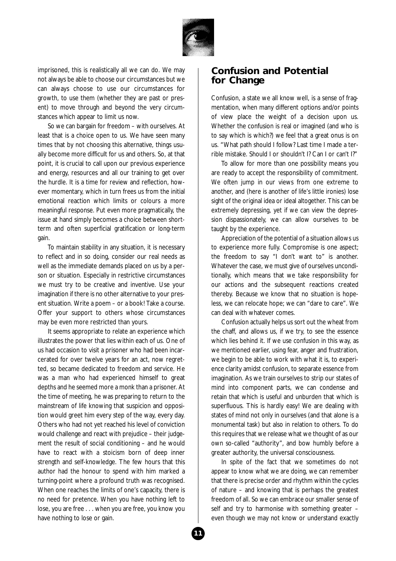

imprisoned, this is realistically all we can do. We may not always be able to choose our circumstances but we can always choose to use our circumstances for growth, to use them (whether they are past or present) to move through and beyond the very circumstances which appear to limit us now.

So we can bargain for freedom – with ourselves. At least that is a choice open to us. We have seen many times that by not choosing this alternative, things usually become more difficult for us and others. So, at that point, it is crucial to call upon our previous experience and energy, resources and all our training to get over the hurdle. It is a time for review and reflection, however momentary, which in turn frees us from the initial emotional reaction which limits or colours a more meaningful response. Put even more pragmatically, the issue at hand simply becomes a choice between shortterm and often superficial gratification or long-term gain.

To maintain stability in any situation, it is necessary to reflect and in so doing, consider our real needs as well as the immediate demands placed on us by a person or situation. Especially in restrictive circumstances we must try to be creative and inventive. Use your imagination if there is no other alternative to your present situation. Write a poem – or a book! Take a course. Offer your support to others whose circumstances may be even more restricted than yours.

It seems appropriate to relate an experience which illustrates the power that lies within each of us. One of us had occasion to visit a prisoner who had been incarcerated for over twelve years for an act, now regretted, so became dedicated to freedom and service. He was a man who had experienced himself to great depths and he seemed more a monk than a prisoner. At the time of meeting, he was preparing to return to the mainstream of life knowing that suspicion and opposition would greet him every step of the way, every day. Others who had not yet reached his level of conviction would challenge and react with prejudice – their judgement the result of social conditioning – and he would have to react with a stoicism born of deep inner strength and self-knowledge. The few hours that this author had the honour to spend with him marked a turning-point where a profound truth was recognised. When one reaches the limits of one's capacity, there is no need for pretence. When you have nothing left to lose, you are free . . . when you are free, you know you have nothing to lose or gain.

#### **Confusion and Potential for Change**

Confusion, a state we all know well, is a sense of fragmentation, when many different options and/or points of view place the weight of a decision upon us. Whether the confusion is real or imagined (and who is to say which is which?) we feel that a great onus is on us. "What path should I follow? Last time I made a terrible mistake. Should I or shouldn't I? Can I or can't I?"

To allow for more than one possibility means you are ready to accept the responsibility of commitment. We often jump in our views from one extreme to another, and (here is another of life's little ironies) lose sight of the original idea or ideal altogether. This can be extremely depressing, yet if we can view the depression dispassionately, we can allow ourselves to be taught by the experience.

Appreciation of the potential of a situation allows us to experience more fully. Compromise is one aspect; the freedom to say "I don't want to" is another. Whatever the case, we must give of ourselves unconditionally, which means that we take responsibility for our actions and the subsequent reactions created thereby. Because we know that no situation is hopeless, we can relocate hope; we can "dare to care". We can deal with whatever comes.

Confusion actually helps us sort out the wheat from the chaff, and allows us, if we try, to see the essence which lies behind it. If we use confusion in this way, as we mentioned earlier, using fear, anger and frustration, we begin to be able to work with what it is, to experience clarity amidst confusion, to separate essence from imagination. As we train ourselves to strip our states of mind into component parts, we can condense and retain that which is useful and unburden that which is superfluous. This is hardly easy! We are dealing with states of mind not only in ourselves (and that alone is a monumental task) but also in relation to others. To do this requires that we release what we thought of as our own so-called "authority", and bow humbly before a greater authority, the universal consciousness.

In spite of the fact that we sometimes do not appear to know what we are doing, we can remember that there is precise order and rhythm within the cycles of nature – and knowing that is perhaps the greatest freedom of all. So we can embrace our smaller sense of self and try to harmonise with something greater – even though we may not know or understand exactly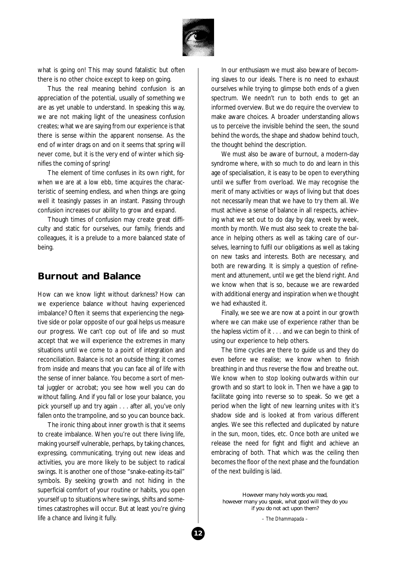

what is going on! This may sound fatalistic but often there is no other choice except to keep on going.

Thus the real meaning behind confusion is an appreciation of the potential, usually of something we are as yet unable to understand. In speaking this way, we are not making light of the uneasiness confusion creates; what we are saying from our experience is that there is sense within the apparent nonsense. As the end of winter drags on and on it seems that spring will never come, but it is the very end of winter which signifies the coming of spring!

The element of time confuses in its own right, for when we are at a low ebb, time acquires the characteristic of seeming endless, and when things are going well it teasingly passes in an instant. Passing through confusion increases our ability to grow and expand.

Though times of confusion may create great difficulty and static for ourselves, our family, friends and colleagues, it is a prelude to a more balanced state of being.

#### **Burnout and Balance**

How can we know light without darkness? How can we experience balance without having experienced imbalance? Often it seems that experiencing the negative side or polar opposite of our goal helps us measure our progress. We can't cop out of life and so must accept that we will experience the extremes in many situations until we come to a point of integration and reconciliation. Balance is not an outside thing; it comes from inside and means that you can face all of life with the sense of inner balance. You become a sort of mental juggler or acrobat; you see how well you can do without falling. And if you fall or lose your balance, you pick yourself up and try again . . . after all, you've only fallen onto the trampoline, and so you can bounce back.

The ironic thing about inner growth is that it seems to create imbalance. When you're out there living life, making yourself vulnerable, perhaps, by taking chances, expressing, communicating, trying out new ideas and activities, you are more likely to be subject to radical swings. It is another one of those "snake-eating-its-tail" symbols. By seeking growth and not hiding in the superficial comfort of your routine or habits, you open yourself up to situations where swings, shifts and sometimes catastrophes will occur. But at least you're giving life a chance and living it fully.

In our enthusiasm we must also beware of becoming slaves to our ideals. There is no need to exhaust ourselves while trying to glimpse both ends of a given spectrum. We needn't run to both ends to get an informed overview. But we do require the overview to make aware choices. A broader understanding allows us to perceive the invisible behind the seen, the sound behind the words, the shape and shadow behind touch, the thought behind the description.

We must also be aware of burnout, a modern-day syndrome where, with so much to do and learn in this age of specialisation, it is easy to be open to everything until we suffer from overload. We may recognise the merit of many activities or ways of living but that does not necessarily mean that we have to try them all. We must achieve a sense of balance in all respects, achieving what we set out to do day by day, week by week, month by month. We must also seek to create the balance in helping others as well as taking care of ourselves, learning to fulfil our obligations as well as taking on new tasks and interests. Both are necessary, and both are rewarding. It is simply a question of refinement and attunement, until we get the blend right. And we know when that is so, because we are rewarded with additional energy and inspiration when we thought we had exhausted it.

Finally, we see we are now at a point in our growth where we can make use of experience rather than be the hapless victim of it . . . and we can begin to think of using our experience to help others.

The time cycles are there to guide us and they do even before we realise; we know when to finish breathing in and thus reverse the flow and breathe out. We know when to stop looking outwards within our growth and so start to look in. Then we have a gap to facilitate going into reverse so to speak. So we get a period when the light of new learning unites with it's shadow side and is looked at from various different angles. We see this reflected and duplicated by nature in the sun, moon, tides, etc. Once both are united we release the need for fight and flight and achieve an embracing of both. That which was the ceiling then becomes the floor of the next phase and the foundation of the next building is laid.

*However many holy words you read, however many you speak, what good will they do you if you do not act upon them?*

*– The Dhammapada –*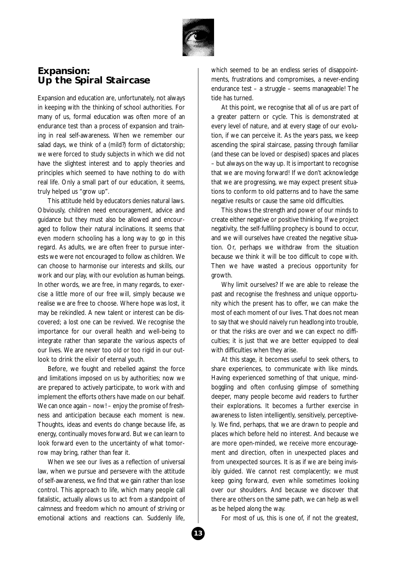

#### **Expansion: Up the Spiral Staircase**

Expansion and education are, unfortunately, not always in keeping with the thinking of school authorities. For many of us, formal education was often more of an endurance test than a process of expansion and training in real self-awareness. When we remember our salad days, we think of a (mild?) form of dictatorship; we were forced to study subjects in which we did not have the slightest interest and to apply theories and principles which seemed to have nothing to do with real life. Only a small part of our education, it seems, truly helped us "grow up".

This attitude held by educators denies natural laws. Obviously, children need encouragement, advice and guidance but they must also be allowed and encouraged to follow their natural inclinations. It seems that even modern schooling has a long way to go in this regard. As adults, we are often freer to pursue interests we were not encouraged to follow as children. We can choose to harmonise our interests and skills, our work and our play, with our evolution as human beings. In other words, we are free, in many regards, to exercise a little more of our free will, simply because we realise we are free to choose. Where hope was lost, it may be rekindled. A new talent or interest can be discovered; a lost one can be revived. We recognise the importance for our overall health and well-being to integrate rather than separate the various aspects of our lives. We are never too old or too rigid in our outlook to drink the elixir of eternal youth.

Before, we fought and rebelled against the force and limitations imposed on us by authorities; now we are prepared to actively participate, to work with and implement the efforts others have made on our behalf. We can once again – now! – enjoy the promise of freshness and anticipation because each moment is new. Thoughts, ideas and events do change because life, as energy, continually moves forward. But we can learn to look forward even to the uncertainty of what tomorrow may bring, rather than fear it.

When we see our lives as a reflection of universal law, when we pursue and persevere with the attitude of self-awareness, we find that we gain rather than lose control. This approach to life, which many people call fatalistic, actually allows us to act from a standpoint of calmness and freedom which no amount of striving or emotional actions and reactions can. Suddenly life,

which seemed to be an endless series of disappointments, frustrations and compromises, a never-ending endurance test – a struggle – seems manageable! The tide has turned.

At this point, we recognise that all of us are part of a greater pattern or cycle. This is demonstrated at every level of nature, and at every stage of our evolution, if we can perceive it. As the years pass, we keep ascending the spiral staircase, passing through familiar (and these can be loved or despised) spaces and places – but always on the way up. It is important to recognise that we are moving forward! If we don't acknowledge that we are progressing, we may expect present situations to conform to old patterns and to have the same negative results or cause the same old difficulties.

This shows the strength and power of our minds to create either negative or positive thinking. If we project negativity, the self-fulfiling prophecy is bound to occur, and we will ourselves have created the negative situation. Or, perhaps we withdraw from the situation because we think it will be too difficult to cope with. Then we have wasted a precious opportunity for growth.

Why limit ourselves? If we are able to release the past and recognise the freshness and unique opportunity which the present has to offer, we can make the most of each moment of our lives. That does not mean to say that we should naively run headlong into trouble, or that the risks are over and we can expect no difficulties; it is just that we are better equipped to deal with difficulties when they arise.

At this stage, it becomes useful to seek others, to share experiences, to communicate with like minds. Having experienced something of that unique, mindboggling and often confusing glimpse of something deeper, many people become avid readers to further their explorations. It becomes a further exercise in awareness to listen intelligently, sensitively, perceptively. We find, perhaps, that we are drawn to people and places which before held no interest. And because we are more open-minded, we receive more encouragement and direction, often in unexpected places and from unexpected sources. It is as if we are being invisibly guided. We cannot rest complacently; we must keep going forward, even while sometimes looking over our shoulders. And because we discover that there are others on the same path, we can help as well as be helped along the way.

For most of us, this is one of, if not the greatest,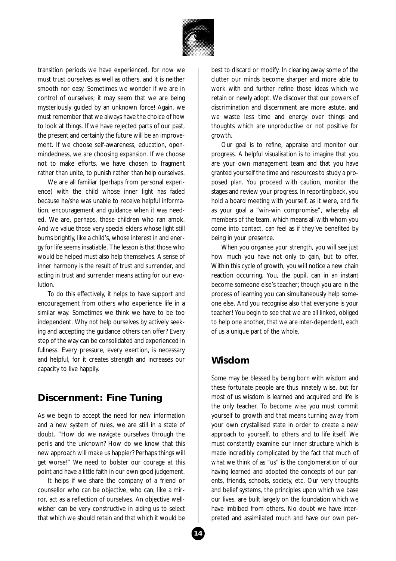

transition periods we have experienced, for now we must trust ourselves as well as others, and it is neither smooth nor easy. Sometimes we wonder if we are in control of ourselves; it may seem that we are being mysteriously guided by an unknown force! Again, we must remember that we always have the choice of how to look at things. If we have rejected parts of our past, the present and certainly the future will be an improvement. If we choose self-awareness, education, openmindedness, we are choosing expansion. If we choose not to make efforts, we have chosen to fragment rather than unite, to punish rather than help ourselves.

We are all familiar (perhaps from personal experience) with the child whose inner light has faded because he/she was unable to receive helpful information, encouragement and guidance when it was needed. We are, perhaps, those children who ran amok. And we value those very special elders whose light still burns brightly, like a child's, whose interest in and energy for life seems insatiable. The lesson is that those who would be helped must also help themselves. A sense of inner harmony is the result of trust and surrender, and acting in trust and surrender means acting for our evolution.

To do this effectively, it helps to have support and encouragement from others who experience life in a similar way. Sometimes we think we have to be too independent. Why not help ourselves by actively seeking and accepting the guidance others can offer? Every step of the way can be consolidated and experienced in fullness. Every pressure, every exertion, is necessary and helpful, for it creates strength and increases our capacity to live happily.

#### **Discernment: Fine Tuning**

As we begin to accept the need for new information and a new system of rules, we are still in a state of doubt. "How do we navigate ourselves through the perils and the unknown? How do we know that this new approach will make us happier? Perhaps things will get worse!" We need to bolster our courage at this point and have a little faith in our own good judgement.

It helps if we share the company of a friend or counsellor who can be objective, who can, like a mirror, act as a reflection of ourselves. An objective wellwisher can be very constructive in aiding us to select that which we should retain and that which it would be

best to discard or modify. In clearing away some of the clutter our minds become sharper and more able to work with and further refine those ideas which we retain or newly adopt. We discover that our powers of discrimination and discernment are more astute, and we waste less time and energy over things and thoughts which are unproductive or not positive for growth.

Our goal is to refine, appraise and monitor our progress. A helpful visualisation is to imagine that you are your own management team and that you have granted yourself the time and resources to study a proposed plan. You proceed with caution, monitor the stages and review your progress. In reporting back, you hold a board meeting with yourself, as it were, and fix as your goal a "win-win compromise", whereby all members of the team, which means all with whom you come into contact, can feel as if they've benefited by being in your presence.

When you organise your strength, you will see just how much you have not only to gain, but to offer. Within this cycle of growth, you will notice a new chain reaction occurring. You, the pupil, can in an instant become someone else's teacher; though you are in the process of learning you can simultaneously help someone else. And you recognise also that everyone is your teacher! You begin to see that we are all linked, obliged to help one another, that we are inter-dependent, each of us a unique part of the whole.

#### **Wisdom**

Some may be blessed by being born with wisdom and these fortunate people are thus innately wise, but for most of us wisdom is learned and acquired and life is the only teacher. To become wise you must commit yourself to growth and that means turning away from your own crystallised state in order to create a new approach to yourself, to others and to life itself. We must constantly examine our inner structure which is made incredibly complicated by the fact that much of what we think of as "us" is the conglomeration of our having learned and adopted the concepts of our parents, friends, schools, society, etc. Our very thoughts and belief systems, the principles upon which we base our lives, are built largely on the foundation which we have imbibed from others. No doubt we have interpreted and assimilated much and have our own per-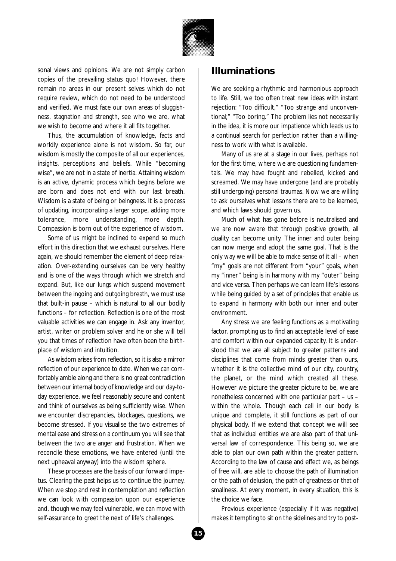

sonal views and opinions. We are not simply carbon copies of the prevailing status quo! However, there remain no areas in our present selves which do not require review, which do not need to be understood and verified. We must face our own areas of sluggishness, stagnation and strength, see who we are, what we wish to become and where it all fits together.

Thus, the accumulation of knowledge, facts and worldly experience alone is not wisdom. So far, our wisdom is mostly the composite of all our experiences, insights, perceptions and beliefs. While "becoming wise", we are not in a state of inertia. Attaining wisdom is an active, dynamic process which begins before we are born and does not end with our last breath. Wisdom is a state of being or beingness. It is a process of updating, incorporating a larger scope, adding more tolerance, more understanding, more depth. Compassion is born out of the experience of wisdom.

Some of us might be inclined to expend so much effort in this direction that we exhaust ourselves. Here again, we should remember the element of deep relaxation. Over-extending ourselves can be very healthy and is one of the ways through which we stretch and expand. But, like our lungs which suspend movement between the ingoing and outgoing breath, we must use that built-in pause – which is natural to all our bodily functions – for reflection. Reflection is one of the most valuable activities we can engage in. Ask any inventor, artist, writer or problem solver and he or she will tell you that times of reflection have often been the birthplace of wisdom and intuition.

As wisdom arises from reflection, so it is also a mirror reflection of our experience to date. When we can comfortably amble along and there is no great contradiction between our internal body of knowledge and our day-today experience, we feel reasonably secure and content and think of ourselves as being sufficiently wise. When we encounter discrepancies, blockages, questions, we become stressed. If you visualise the two extremes of mental ease and stress on a continuum you will see that between the two are anger and frustration. When we reconcile these emotions, we have entered (until the next upheaval anyway) into the wisdom sphere.

These processes are the basis of our forward impetus. Clearing the past helps us to continue the journey. When we stop and rest in contemplation and reflection we can look with compassion upon our experience and, though we may feel vulnerable, we can move with self-assurance to greet the next of life's challenges.

#### **Illuminations**

We are seeking a rhythmic and harmonious approach to life. Still, we too often treat new ideas with instant rejection: "Too difficult," "Too strange and unconventional;" "Too boring." The problem lies not necessarily in the idea, it is more our impatience which leads us to a continual search for perfection rather than a willingness to work with what is available.

Many of us are at a stage in our lives, perhaps not for the first time, where we are questioning fundamentals. We may have fought and rebelled, kicked and screamed. We may have undergone (and are probably still undergoing) personal traumas. Now we are willing to ask ourselves what lessons there are to be learned, and which laws should govern us.

Much of what has gone before is neutralised and we are now aware that through positive growth, all duality can become unity. The inner and outer being can now merge and adopt the same goal. That is the only way we will be able to make sense of it all – when "my" goals are not different from "your" goals, when my "inner" being is in harmony with my "outer" being and vice versa. Then perhaps we can learn life's lessons while being guided by a set of principles that enable us to expand in harmony with both our inner and outer environment.

Any stress we are feeling functions as a motivating factor, prompting us to find an acceptable level of ease and comfort within our expanded capacity. It is understood that we are all subject to greater patterns and disciplines that come from minds greater than ours, whether it is the collective mind of our city, country, the planet, or the mind which created all these. However we picture the greater picture to be, we are nonetheless concerned with one particular part – us – within the whole. Though each cell in our body is unique and complete, it still functions as part of our physical body. If we extend that concept we will see that as individual entities we are also part of that universal law of correspondence. This being so, we are able to plan our own path within the greater pattern. According to the law of cause and effect we, as beings of free will, are able to choose the path of illumination or the path of delusion, the path of greatness or that of smallness. At every moment, in every situation, this is the choice we face.

Previous experience (especially if it was negative) makes it tempting to sit on the sidelines and try to post-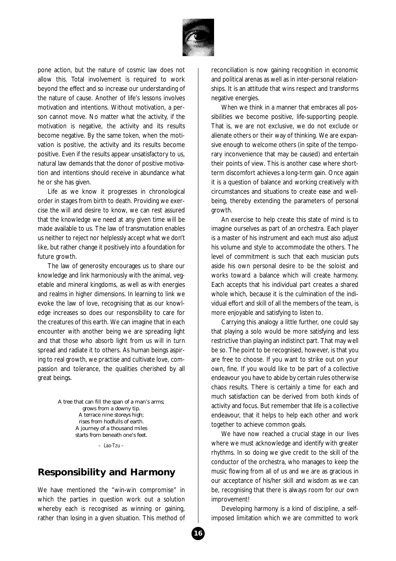

pone action, but the nature of cosmic law does not allow this. Total involvement is required to work beyond the effect and so increase our understanding of the nature of cause. Another of life's lessons involves motivation and intentions. Without motivation, a person cannot move. No matter what the activity, if the motivation is negative, the activity and its results become negative. By the same token, when the motivation is positive, the activity and its results become positive. Even if the results appear unsatisfactory to us, natural law demands that the donor of positive motivation and intentions should receive in abundance what he or she has given.

Life as we know it progresses in chronological order in stages from birth to death. Providing we exercise the will and desire to know, we can rest assured that the knowledge we need at any given time will be made available to us. The law of transmutation enables us neither to reject nor helplessly accept what we don't like, but rather change it positively into a foundation for future growth.

The law of generosity encourages us to share our knowledge and link harmoniously with the animal, vegetable and mineral kingdoms, as well as with energies and realms in higher dimensions. In learning to link we evoke the law of love, recognising that as our knowledge increases so does our responsibility to care for the creatures of this earth. We can imagine that in each encounter with another being we are spreading light and that those who absorb light from us will in turn spread and radiate it to others. As human beings aspiring to real growth, we practise and cultivate love, compassion and tolerance, the qualities cherished by all great beings.

> *A tree that can fill the span of a man's arms; grows from a downy tip. A terrace nine storeys high; rises from hodfulls of earth. A journey of a thousand miles starts from beneath one's feet.*

> > *– Lao-Tzu –*

#### **Responsibility and Harmony**

We have mentioned the "win-win compromise" in which the parties in question work out a solution whereby each is recognised as winning or gaining, rather than losing in a given situation. This method of

reconciliation is now gaining recognition in economic and political arenas as well as in inter-personal relationships. It is an attitude that wins respect and transforms negative energies.

When we think in a manner that embraces all possibilities we become positive, life-supporting people. That is, we are not exclusive, we do not exclude or alienate others or their way of thinking. We are expansive enough to welcome others (in spite of the temporary inconvenience that may be caused) and entertain their points of view. This is another case where shortterm discomfort achieves a long-term gain. Once again it is a question of balance and working creatively with circumstances and situations to create ease and wellbeing, thereby extending the parameters of personal growth.

An exercise to help create this state of mind is to imagine ourselves as part of an orchestra. Each player is a master of his instrument and each must also adjust his volume and style to accommodate the others. The level of commitment is such that each musician puts aside his own personal desire to be the soloist and works toward a balance which will create harmony. Each accepts that his individual part creates a shared whole which, because it is the culmination of the individual effort and skill of all the members of the team, is more enjoyable and satisfying to listen to.

Carrying this analogy a little further, one could say that playing a solo would be more satisfying and less restrictive than playing an indistinct part. That may well be so. The point to be recognised, however, is that you are free to choose. If you want to strike out on your own, fine. If you would like to be part of a collective endeavour you have to abide by certain rules otherwise chaos results. There is certainly a time for each and much satisfaction can be derived from both kinds of activity and focus. But remember that life is a collective endeavour, that it helps to help each other and work together to achieve common goals.

We have now reached a crucial stage in our lives where we must acknowledge and identify with greater rhythms. In so doing we give credit to the skill of the conductor of the orchestra, who manages to keep the music flowing from all of us and we are as gracious in our acceptance of his/her skill and wisdom as we can be, recognising that there is always room for our own improvement!

Developing harmony is a kind of discipline, a selfimposed limitation which we are committed to work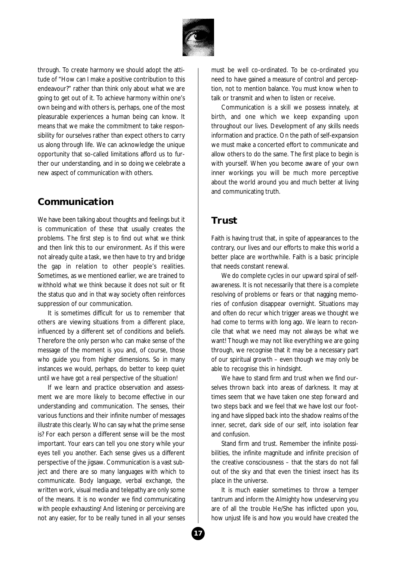

through. To create harmony we should adopt the attitude of "How can I make a positive contribution to this endeavour?" rather than think only about what we are going to get out of it. To achieve harmony within one's own being and with others is, perhaps, one of the most pleasurable experiences a human being can know. It means that we make the commitment to take responsibility for ourselves rather than expect others to carry us along through life. We can acknowledge the unique opportunity that so-called limitations afford us to further our understanding, and in so doing we celebrate a new aspect of communication with others.

## **Communication**

We have been talking about thoughts and feelings but it is communication of these that usually creates the problems. The first step is to find out what we think and then link this to our environment. As if this were not already quite a task, we then have to try and bridge the gap in relation to other people's realities. Sometimes, as we mentioned earlier, we are trained to withhold what we think because it does not suit or fit the status quo and in that way society often reinforces suppression of our communication.

It is sometimes difficult for us to remember that others are viewing situations from a different place, influenced by a different set of conditions and beliefs. Therefore the only person who can make sense of the message of the moment is you and, of course, those who guide you from higher dimensions. So in many instances we would, perhaps, do better to keep quiet until we have got a real perspective of the situation!

If we learn and practice observation and assessment we are more likely to become effective in our understanding and communication. The senses, their various functions and their infinite number of messages illustrate this clearly. Who can say what the prime sense is? For each person a different sense will be the most important. Your ears can tell you one story while your eyes tell you another. Each sense gives us a different perspective of the jigsaw. Communication is a vast subject and there are so many languages with which to communicate. Body language, verbal exchange, the written work, visual media and telepathy are only some of the means. It is no wonder we find communicating with people exhausting! And listening or perceiving are not any easier, for to be really tuned in all your senses

must be well co-ordinated. To be co-ordinated you need to have gained a measure of control and perception, not to mention balance. You must know when to talk or transmit and when to listen or receive.

Communication is a skill we possess innately, at birth, and one which we keep expanding upon throughout our lives. Development of any skills needs information and practice. On the path of self-expansion we must make a concerted effort to communicate and allow others to do the same. The first place to begin is with yourself. When you become aware of your own inner workings you will be much more perceptive about the world around you and much better at living and communicating truth.

## **Trust**

Faith is having trust that, in spite of appearances to the contrary, our lives and our efforts to make this world a better place are worthwhile. Faith is a basic principle that needs constant renewal.

We do complete cycles in our upward spiral of selfawareness. It is not necessarily that there is a complete resolving of problems or fears or that nagging memories of confusion disappear overnight. Situations may and often do recur which trigger areas we thought we had come to terms with long ago. We learn to reconcile that what we need may not always be what we want! Though we may not like everything we are going through, we recognise that it may be a necessary part of our spiritual growth – even though we may only be able to recognise this in hindsight.

We have to stand firm and trust when we find ourselves thrown back into areas of darkness. It may at times seem that we have taken one step forward and two steps back and we feel that we have lost our footing and have slipped back into the shadow realms of the inner, secret, dark side of our self, into isolation fear and confusion.

Stand firm and trust. Remember the infinite possibilities, the infinite magnitude and infinite precision of the creative consciousness – that the stars do not fall out of the sky and that even the tiniest insect has its place in the universe.

It is much easier sometimes to throw a temper tantrum and inform the Almighty how undeserving you are of all the trouble He/She has inflicted upon you, how unjust life is and how you would have created the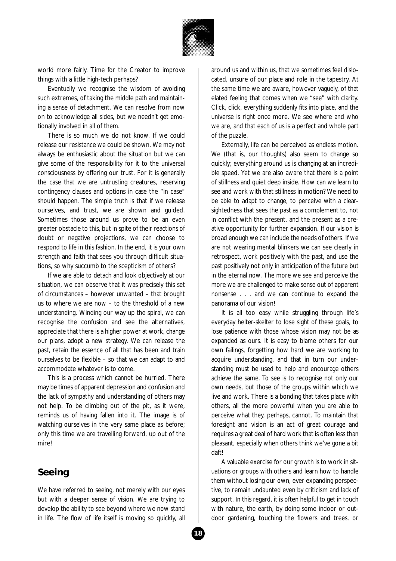

world more fairly. Time for the Creator to improve things with a little high-tech perhaps?

Eventually we recognise the wisdom of avoiding such extremes, of taking the middle path and maintaining a sense of detachment. We can resolve from now on to acknowledge all sides, but we needn't get emotionally involved in all of them.

There is so much we do not know. If we could release our resistance we could be shown. We may not always be enthusiastic about the situation but we can give some of the responsibility for it to the universal consciousness by offering our trust. For it is generally the case that we are untrusting creatures, reserving contingency clauses and options in case the "in case" should happen. The simple truth is that if we release ourselves, and trust, we are shown and guided. Sometimes those around us prove to be an even greater obstacle to this, but in spite of their reactions of doubt or negative projections, we can choose to respond to life in this fashion. In the end, it is your own strength and faith that sees you through difficult situations, so why succumb to the scepticism of others?

If we are able to detach and look objectively at our situation, we can observe that it was precisely this set of circumstances – however unwanted – that brought us to where we are now – to the threshold of a new understanding. Winding our way up the spiral, we can recognise the confusion and see the alternatives, appreciate that there is a higher power at work, change our plans, adopt a new strategy. We can release the past, retain the essence of all that has been and train ourselves to be flexible – so that we can adapt to and accommodate whatever is to come.

This is a process which cannot be hurried. There may be times of apparent depression and confusion and the lack of sympathy and understanding of others may not help. To be climbing out of the pit, as it were, reminds us of having fallen into it. The image is of watching ourselves in the very same place as before; only this time we are travelling forward, up out of the mire!

## **Seeing**

We have referred to seeing, not merely with our eyes but with a deeper sense of vision. We are trying to develop the ability to see beyond where we now stand in life. The flow of life itself is moving so quickly, all

around us and within us, that we sometimes feel dislocated, unsure of our place and role in the tapestry. At the same time we are aware, however vaguely, of that elated feeling that comes when we "see" with clarity. Click, click, everything suddenly fits into place, and the universe is right once more. We see where and who we are, and that each of us is a perfect and whole part of the puzzle.

Externally, life can be perceived as endless motion. We (that is, our thoughts) also seem to change so quickly; everything around us is changing at an incredible speed. Yet we are also aware that there is a point of stillness and quiet deep inside. How can we learn to see and work with that stillness in motion? We need to be able to adapt to change, to perceive with a clearsightedness that sees the past as a complement to, not in conflict with the present, and the present as a creative opportunity for further expansion. If our vision is broad enough we can include the needs of others. If we are not wearing mental blinkers we can see clearly in retrospect, work positively with the past, and use the past positively not only in anticipation of the future but in the eternal now. The more we see and perceive the more we are challenged to make sense out of apparent nonsense . . . and we can continue to expand the panorama of our vision!

It is all too easy while struggling through life's everyday helter-skelter to lose sight of these goals, to lose patience with those whose vision may not be as expanded as ours. It is easy to blame others for our own failings, forgetting how hard we are working to acquire understanding, and that in turn our understanding must be used to help and encourage others achieve the same. To see is to recognise not only our own needs, but those of the groups within which we live and work. There is a bonding that takes place with others, all the more powerful when you are able to perceive what they, perhaps, cannot. To maintain that foresight and vision is an act of great courage and requires a great deal of hard work that is often less than pleasant, especially when others think we've gone a bit daft!

A valuable exercise for our growth is to work in situations or groups with others and learn how to handle them without losing our own, ever expanding perspective, to remain undaunted even by criticism and lack of support. In this regard, it is often helpful to get in touch with nature, the earth, by doing some indoor or outdoor gardening, touching the flowers and trees, or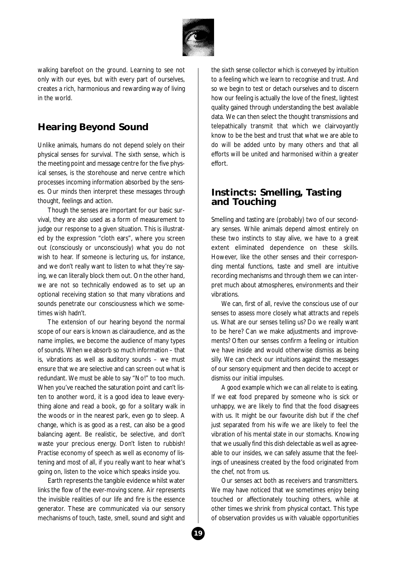

walking barefoot on the ground. Learning to see not only with our eyes, but with every part of ourselves, creates a rich, harmonious and rewarding way of living in the world.

## **Hearing Beyond Sound**

Unlike animals, humans do not depend solely on their physical senses for survival. The sixth sense, which is the meeting point and message centre for the five physical senses, is the storehouse and nerve centre which processes incoming information absorbed by the senses. Our minds then interpret these messages through thought, feelings and action.

Though the senses are important for our basic survival, they are also used as a form of measurement to judge our response to a given situation. This is illustrated by the expression "cloth ears", where you screen out (consciously or unconsciously) what you do not wish to hear. If someone is lecturing us, for instance, and we don't really want to listen to what they're saying, we can literally block them out. On the other hand, we are not so technically endowed as to set up an optional receiving station so that many vibrations and sounds penetrate our consciousness which we sometimes wish hadn't.

The extension of our hearing beyond the normal scope of our ears is known as clairaudience, and as the name implies, we become the audience of many types of sounds. When we absorb so much information – that is, vibrations as well as auditory sounds – we must ensure that we are selective and can screen out what is redundant. We must be able to say "No!" to too much. When you've reached the saturation point and can't listen to another word, it is a good idea to leave everything alone and read a book, go for a solitary walk in the woods or in the nearest park, even go to sleep. A change, which is as good as a rest, can also be a good balancing agent. Be realistic, be selective, and don't waste your precious energy. Don't listen to rubbish! Practise economy of speech as well as economy of listening and most of all, if you really want to hear what's going on, listen to the voice which speaks inside you.

Earth represents the tangible evidence whilst water links the flow of the ever-moving scene. Air represents the invisible realities of our life and fire is the essence generator. These are communicated via our sensory mechanisms of touch, taste, smell, sound and sight and

the sixth sense collector which is conveyed by intuition to a feeling which we learn to recognise and trust. And so we begin to test or detach ourselves and to discern how our feeling is actually the love of the finest, lightest quality gained through understanding the best available data. We can then select the thought transmissions and telepathically transmit that which we clairvoyantly know to be the best and trust that what we are able to do will be added unto by many others and that all efforts will be united and harmonised within a greater effort.

#### **Instincts: Smelling, Tasting and Touching**

Smelling and tasting are (probably) two of our secondary senses. While animals depend almost entirely on these two instincts to stay alive, we have to a great extent eliminated dependence on these skills. However, like the other senses and their corresponding mental functions, taste and smell are intuitive recording mechanisms and through them we can interpret much about atmospheres, environments and their vibrations.

We can, first of all, revive the conscious use of our senses to assess more closely what attracts and repels us. What are our senses telling us? Do we really want to be here? Can we make adjustments and improvements? Often our senses confirm a feeling or intuition we have inside and would otherwise dismiss as being silly. We can check our intuitions against the messages of our sensory equipment and then decide to accept or dismiss our initial impulses.

A good example which we can all relate to is eating. If we eat food prepared by someone who is sick or unhappy, we are likely to find that the food disagrees with us. It might be our favourite dish but if the chef just separated from his wife we are likely to feel the vibration of his mental state in our stomachs. Knowing that we usually find this dish delectable as well as agreeable to our insides, we can safely assume that the feelings of uneasiness created by the food originated from the chef, not from us.

Our senses act both as receivers and transmitters. We may have noticed that we sometimes enjoy being touched or affectionately touching others, while at other times we shrink from physical contact. This type of observation provides us with valuable opportunities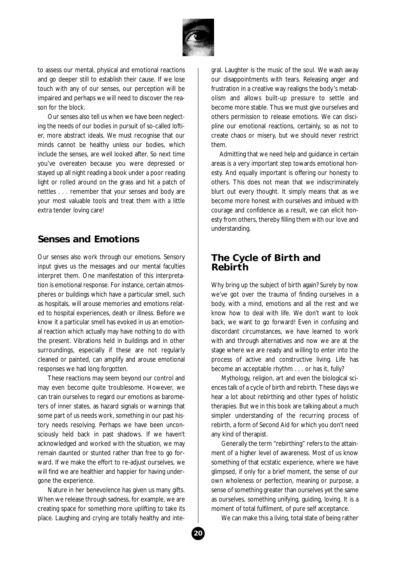

to assess our mental, physical and emotional reactions and go deeper still to establish their cause. If we lose touch with any of our senses, our perception will be impaired and perhaps we will need to discover the reason for the block.

Our senses also tell us when we have been neglecting the needs of our bodies in pursuit of so-called loftier, more abstract ideals. We must recognise that our minds cannot be healthy unless our bodies, which include the senses, are well looked after. So next time you've overeaten because you were depressed or stayed up all night reading a book under a poor reading light or rolled around on the grass and hit a patch of nettles . . . remember that your senses and body are your most valuable tools and treat them with a little extra tender loving care!

#### **Senses and Emotions**

Our senses also work through our emotions. Sensory input gives us the messages and our mental faculties interpret them. One manifestation of this interpretation is emotional response. For instance, certain atmospheres or buildings which have a particular smell, such as hospitals, will arouse memories and emotions related to hospital experiences, death or illness. Before we know it a particular smell has evoked in us an emotional reaction which actually may have nothing to do with the present. Vibrations held in buildings and in other surroundings, especially if these are not regularly cleaned or painted, can amplify and arouse emotional responses we had long forgotten.

These reactions may seem beyond our control and may even become quite troublesome. However, we can train ourselves to regard our emotions as barometers of inner states, as hazard signals or warnings that some part of us needs work, something in our past history needs resolving. Perhaps we have been unconsciously held back in past shadows. If we haven't acknowledged and worked with the situation, we may remain daunted or stunted rather than free to go forward. If we make the effort to re-adjust ourselves, we will find we are healthier and happier for having undergone the experience.

Nature in her benevolence has given us many gifts. When we release through sadness, for example, we are creating space for something more uplifting to take its place. Laughing and crying are totally healthy and integral. Laughter is the music of the soul. We wash away our disappointments with tears. Releasing anger and frustration in a creative way realigns the body's metabolism and allows built-up pressure to settle and become more stable. Thus we must give ourselves and others permission to release emotions. We can discipline our emotional reactions, certainly, so as not to create chaos or misery, but we should never restrict them.

Admitting that we need help and guidance in certain areas is a very important step towards emotional honesty. And equally important is offering our honesty to others. This does not mean that we indiscriminately blurt out every thought. It simply means that as we become more honest with ourselves and imbued with courage and confidence as a result, we can elicit honesty from others, thereby filling them with our love and understanding.

#### **The Cycle of Birth and Rebirth**

Why bring up the subject of birth again? Surely by now we've got over the trauma of finding ourselves in a body, with a mind, emotions and all the rest and we know how to deal with life. We don't want to look back, we want to go forward! Even in confusing and discordant circumstances, we have learned to work with and through alternatives and now we are at the stage where we are ready and willing to enter into the process of active and constructive living. Life has become an acceptable rhythm . . . or has it, fully?

Mythology, religion, art and even the biological sciences talk of a cycle of birth and rebirth. These days we hear a lot about rebirthing and other types of holistic therapies. But we in this book are talking about a much simpler understanding of the recurring process of rebirth, a form of Second Aid for which you don't need any kind of therapist.

Generally the term "rebirthing" refers to the attainment of a higher level of awareness. Most of us know something of that ecstatic experience, where we have glimpsed, if only for a brief moment, the sense of our own wholeness or perfection, meaning or purpose, a sense of something greater than ourselves yet the same as ourselves, something unifying, guiding, loving. It is a moment of total fulfilment, of pure self acceptance.

We can make this a living, total state of being rather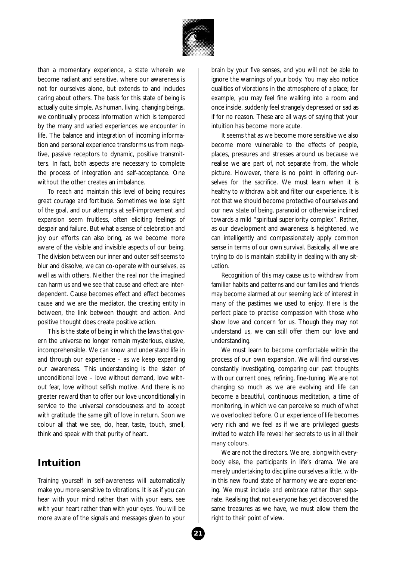

than a momentary experience, a state wherein we become radiant and sensitive, where our awareness is not for ourselves alone, but extends to and includes caring about others. The basis for this state of being is actually quite simple. As human, living, changing beings, we continually process information which is tempered by the many and varied experiences we encounter in life. The balance and integration of incoming information and personal experience transforms us from negative, passive receptors to dynamic, positive transmitters. In fact, both aspects are necessary to complete the process of integration and self-acceptance. One without the other creates an imbalance.

To reach and maintain this level of being requires great courage and fortitude. Sometimes we lose sight of the goal, and our attempts at self-improvement and expansion seem fruitless, often eliciting feelings of despair and failure. But what a sense of celebration and joy our efforts can also bring, as we become more aware of the visible and invisible aspects of our being. The division between our inner and outer self seems to blur and dissolve, we can co-operate with ourselves, as well as with others. Neither the real nor the imagined can harm us and we see that cause and effect are interdependent. Cause becomes effect and effect becomes cause and we are the mediator, the creating entity in between, the link between thought and action. And positive thought does create positive action.

This is the state of being in which the laws that govern the universe no longer remain mysterious, elusive, incomprehensible. We can know and understand life in and through our experience – as we keep expanding our awareness. This understanding is the sister of unconditional love – love without demand, love without fear, love without selfish motive. And there is no greater reward than to offer our love unconditionally in service to the universal consciousness and to accept with gratitude the same gift of love in return. Soon we colour all that we see, do, hear, taste, touch, smell, think and speak with that purity of heart.

#### **Intuition**

Training yourself in self-awareness will automatically make you more sensitive to vibrations. It is as if you can hear with your mind rather than with your ears, see with your heart rather than with your eyes. You will be more aware of the signals and messages given to your

brain by your five senses, and you will not be able to ignore the warnings of your body. You may also notice qualities of vibrations in the atmosphere of a place; for example, you may feel fine walking into a room and once inside, suddenly feel strangely depressed or sad as if for no reason. These are all ways of saying that your intuition has become more acute.

It seems that as we become more sensitive we also become more vulnerable to the effects of people, places, pressures and stresses around us because we realise we are part of, not separate from, the whole picture. However, there is no point in offering ourselves for the sacrifice. We must learn when it is healthy to withdraw a bit and filter our experience. It is not that we should become protective of ourselves and our new state of being, paranoid or otherwise inclined towards a mild "spiritual superiority complex". Rather, as our development and awareness is heightened, we can intelligently and compassionately apply common sense in terms of our own survival. Basically, all we are trying to do is maintain stability in dealing with any situation.

Recognition of this may cause us to withdraw from familiar habits and patterns and our families and friends may become alarmed at our seeming lack of interest in many of the pastimes we used to enjoy. Here is the perfect place to practise compassion with those who show love and concern for us. Though they may not understand us, we can still offer them our love and understanding.

We must learn to become comfortable within the process of our own expansion. We will find ourselves constantly investigating, comparing our past thoughts with our current ones, refining, fine-tuning. We are not changing so much as we are evolving and life can become a beautiful, continuous meditation, a time of monitoring, in which we can perceive so much of what we overlooked before. Our experience of life becomes very rich and we feel as if we are privileged guests invited to watch life reveal her secrets to us in all their many colours.

We are not the directors. We are, along with everybody else, the participants in life's drama. We are merely undertaking to discipline ourselves a little, within this new found state of harmony we are experiencing. We must include and embrace rather than separate. Realising that not everyone has yet discovered the same treasures as we have, we must allow them the right to their point of view.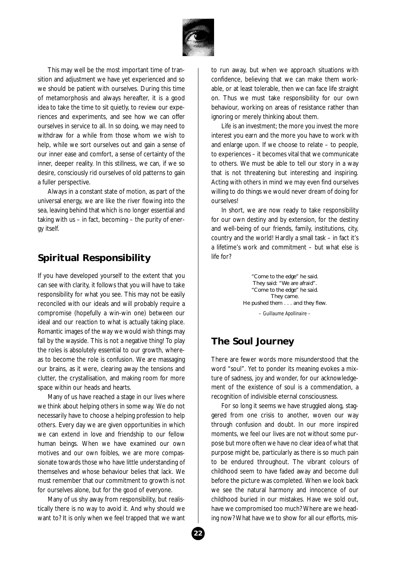

This may well be the most important time of transition and adjustment we have yet experienced and so we should be patient with ourselves. During this time of metamorphosis and always hereafter, it is a good idea to take the time to sit quietly, to review our experiences and experiments, and see how we can offer ourselves in service to all. In so doing, we may need to withdraw for a while from those whom we wish to help, while we sort ourselves out and gain a sense of our inner ease and comfort, a sense of certainty of the inner, deeper reality. In this stillness, we can, if we so desire, consciously rid ourselves of old patterns to gain a fuller perspective.

Always in a constant state of motion, as part of the universal energy, we are like the river flowing into the sea, leaving behind that which is no longer essential and taking with us – in fact, becoming – the purity of energy itself.

## **Spiritual Responsibility**

If you have developed yourself to the extent that you can see with clarity, it follows that you will have to take responsibility for what you see. This may not be easily reconciled with our ideals and will probably require a compromise (hopefully a win-win one) between our ideal and our reaction to what is actually taking place. Romantic images of the way we would wish things may fall by the wayside. This is not a negative thing! To play the roles is absolutely essential to our growth, whereas to become the role is confusion. We are massaging our brains, as it were, clearing away the tensions and clutter, the crystallisation, and making room for more space within our heads and hearts.

Many of us have reached a stage in our lives where we think about helping others in some way. We do not necessarily have to choose a helping profession to help others. Every day we are given opportunities in which we can extend in love and friendship to our fellow human beings. When we have examined our own motives and our own foibles, we are more compassionate towards those who have little understanding of themselves and whose behaviour belies that lack. We must remember that our commitment to growth is not for ourselves alone, but for the good of everyone.

Many of us shy away from responsibility, but realistically there is no way to avoid it. And why should we want to? It is only when we feel trapped that we want

to run away, but when we approach situations with confidence, believing that we can make them workable, or at least tolerable, then we can face life straight on. Thus we must take responsibility for our own behaviour, working on areas of resistance rather than ignoring or merely thinking about them.

Life is an investment; the more you invest the more interest you earn and the more you have to work with and enlarge upon. If we choose to relate – to people, to experiences – it becomes vital that we communicate to others. We must be able to tell our story in a way that is not threatening but interesting and inspiring. Acting with others in mind we may even find ourselves willing to do things we would never dream of doing for ourselves!

In short, we are now ready to take responsibility for our own destiny and by extension, for the destiny and well-being of our friends, family, institutions, city, country and the world! Hardly a small task – in fact it's a lifetime's work and commitment – but what else is life for?

> *"Come to the edge" he said. They said: "We are afraid". "Come to the edge" he said. They came. He pushed them . . . and they flew.*

*– Guillaume Apollinaire –*

## **The Soul Journey**

There are fewer words more misunderstood that the word "soul". Yet to ponder its meaning evokes a mixture of sadness, joy and wonder, for our acknowledgement of the existence of soul is a commendation, a recognition of indivisible eternal consciousness.

For so long it seems we have struggled along, staggered from one crisis to another, woven our way through confusion and doubt. In our more inspired moments, we feel our lives are not without some purpose but more often we have no clear idea of what that purpose might be, particularly as there is so much pain to be endured throughout. The vibrant colours of childhood seem to have faded away and become dull before the picture was completed. When we look back we see the natural harmony and innocence of our childhood buried in our mistakes. Have we sold out, have we compromised too much? Where are we heading now? What have we to show for all our efforts, mis-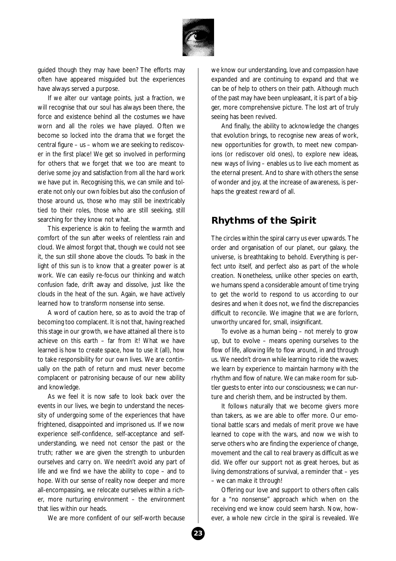

guided though they may have been? The efforts may often have appeared misguided but the experiences have always served a purpose.

If we alter our vantage points, just a fraction, we will recognise that our soul has always been there, the force and existence behind all the costumes we have worn and all the roles we have played. Often we become so locked into the drama that we forget the central figure – us – whom we are seeking to rediscover in the first place! We get so involved in performing for others that we forget that we too are meant to derive some joy and satisfaction from all the hard work we have put in. Recognising this, we can smile and tolerate not only our own foibles but also the confusion of those around us, those who may still be inextricably tied to their roles, those who are still seeking, still searching for they know not what.

This experience is akin to feeling the warmth and comfort of the sun after weeks of relentless rain and cloud. We almost forgot that, though we could not see it, the sun still shone above the clouds. To bask in the light of this sun is to know that a greater power is at work. We can easily re-focus our thinking and watch confusion fade, drift away and dissolve, just like the clouds in the heat of the sun. Again, we have actively learned how to transform nonsense into sense.

A word of caution here, so as to avoid the trap of becoming too complacent. It is not that, having reached this stage in our growth, we have attained all there is to achieve on this earth – far from it! What we have learned is how to create space, how to use it (all), how to take responsibility for our own lives. We are continually on the path of return and must never become complacent or patronising because of our new ability and knowledge.

As we feel it is now safe to look back over the events in our lives, we begin to understand the necessity of undergoing some of the experiences that have frightened, disappointed and imprisoned us. If we now experience self-confidence, self-acceptance and selfunderstanding, we need not censor the past or the truth; rather we are given the strength to unburden ourselves and carry on. We needn't avoid any part of life and we find we have the ability to cope – and to hope. With our sense of reality now deeper and more all-encompassing, we relocate ourselves within a richer, more nurturing environment – the environment that lies within our heads.

We are more confident of our self-worth because

we know our understanding, love and compassion have expanded and are continuing to expand and that we can be of help to others on their path. Although much of the past may have been unpleasant, it is part of a bigger, more comprehensive picture. The lost art of truly seeing has been revived.

And finally, the ability to acknowledge the changes that evolution brings, to recognise new areas of work, new opportunities for growth, to meet new companions (or rediscover old ones), to explore new ideas, new ways of living – enables us to live each moment as the eternal present. And to share with others the sense of wonder and joy, at the increase of awareness, is perhaps the greatest reward of all.

#### **Rhythms of the Spirit**

The circles within the spiral carry us ever upwards. The order and organisation of our planet, our galaxy, the universe, is breathtaking to behold. Everything is perfect unto itself, and perfect also as part of the whole creation. Nonetheless, unlike other species on earth, we humans spend a considerable amount of time trying to get the world to respond to us according to our desires and when it does not, we find the discrepancies difficult to reconcile. We imagine that we are forlorn, unworthy uncared for, small, insignificant.

To evolve as a human being – not merely to grow up, but to evolve – means opening ourselves to the flow of life, allowing life to flow around, in and through us. We needn't drown while learning to ride the waves; we learn by experience to maintain harmony with the rhythm and flow of nature. We can make room for subtler guests to enter into our consciousness; we can nurture and cherish them, and be instructed by them.

It follows naturally that we become givers more than takers, as we are able to offer more. Our emotional battle scars and medals of merit prove we have learned to cope with the wars, and now we wish to serve others who are finding the experience of change, movement and the call to real bravery as difficult as we did. We offer our support not as great heroes, but as living demonstrations of survival, a reminder that – yes – we can make it through!

Offering our love and support to others often calls for a "no nonsense" approach which when on the receiving end we know could seem harsh. Now, however, a whole new circle in the spiral is revealed. We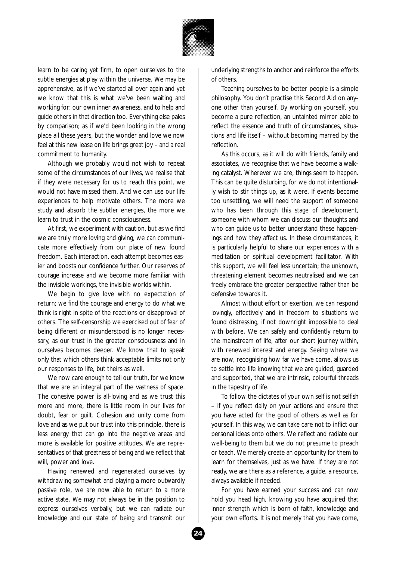

learn to be caring yet firm, to open ourselves to the subtle energies at play within the universe. We may be apprehensive, as if we've started all over again and yet we know that this is what we've been waiting and working for: our own inner awareness, and to help and guide others in that direction too. Everything else pales by comparison; as if we'd been looking in the wrong place all these years, but the wonder and love we now feel at this new lease on life brings great joy – and a real commitment to humanity.

Although we probably would not wish to repeat some of the circumstances of our lives, we realise that if they were necessary for us to reach this point, we would not have missed them. And we can use our life experiences to help motivate others. The more we study and absorb the subtler energies, the more we learn to trust in the cosmic consciousness.

At first, we experiment with caution, but as we find we are truly more loving and giving, we can communicate more effectively from our place of new found freedom. Each interaction, each attempt becomes easier and boosts our confidence further. Our reserves of courage increase and we become more familiar with the invisible workings, the invisible worlds within.

We begin to give love with no expectation of return; we find the courage and energy to do what we think is right in spite of the reactions or disapproval of others. The self-censorship we exercised out of fear of being different or misunderstood is no longer necessary, as our trust in the greater consciousness and in ourselves becomes deeper. We know that to speak only that which others think acceptable limits not only our responses to life, but theirs as well.

We now care enough to tell our truth, for we know that we are an integral part of the vastness of space. The cohesive power is all-loving and as we trust this more and more, there is little room in our lives for doubt, fear or guilt. Cohesion and unity come from love and as we put our trust into this principle, there is less energy that can go into the negative areas and more is available for positive attitudes. We are representatives of that greatness of being and we reflect that will, power and love.

Having renewed and regenerated ourselves by withdrawing somewhat and playing a more outwardly passive role, we are now able to return to a more active state. We may not always be in the position to express ourselves verbally, but we can radiate our knowledge and our state of being and transmit our

underlying strengths to anchor and reinforce the efforts of others.

Teaching ourselves to be better people is a simple philosophy. You don't practise this Second Aid on anyone other than yourself. By working on yourself, you become a pure reflection, an untainted mirror able to reflect the essence and truth of circumstances, situations and life itself – without becoming marred by the reflection.

As this occurs, as it will do with friends, family and associates, we recognise that we have become a walking catalyst. Wherever we are, things seem to happen. This can be quite disturbing, for we do not intentionally wish to stir things up, as it were. If events become too unsettling, we will need the support of someone who has been through this stage of development, someone with whom we can discuss our thoughts and who can guide us to better understand these happenings and how they affect us. In these circumstances, it is particularly helpful to share our experiences with a meditation or spiritual development facilitator. With this support, we will feel less uncertain; the unknown, threatening element becomes neutralised and we can freely embrace the greater perspective rather than be defensive towards it.

Almost without effort or exertion, we can respond lovingly, effectively and in freedom to situations we found distressing, if not downright impossible to deal with before. We can safely and confidently return to the mainstream of life, after our short journey within, with renewed interest and energy. Seeing where we are now, recognising how far we have come, allows us to settle into life knowing that we are guided, guarded and supported, that we are intrinsic, colourful threads in the tapestry of life.

To follow the dictates of your own self is not selfish – if you reflect daily on your actions and ensure that you have acted for the good of others as well as for yourself. In this way, we can take care not to inflict our personal ideas onto others. We reflect and radiate our well-being to them but we do not presume to preach or teach. We merely create an opportunity for them to learn for themselves, just as we have. If they are not ready, we are there as a reference, a guide, a resource, always available if needed.

For you have earned your success and can now hold you head high, knowing you have acquired that inner strength which is born of faith, knowledge and your own efforts. It is not merely that you have come,